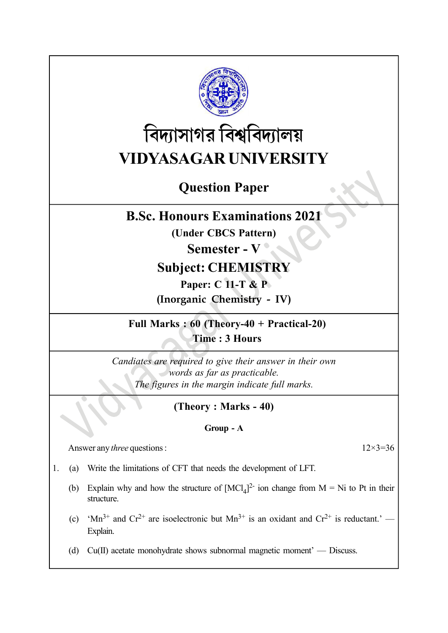

# বিদ্যাসাগর বিশ্ববিদ্যালয় VIDYASAGAR UNIVERSITY

# Question Paper

## B.Sc. Honours Examinations 2021

(Under CBCS Pattern)

# Semester - V

# Subject: CHEMISTRY

Paper: C 11-T & P (Inorganic Chemistry - IV)

Full Marks : 60 (Theory-40 + Practical-20) Time : 3 Hours

Candiates are required to give their answer in their own words as far as practicable. The figures in the margin indicate full marks.

## (Theory : Marks - 40)

### Group - A

Answer any *three* questions :  $12 \times 3 = 36$ 

- 1. (a) Write the limitations of CFT that needs the development of LFT.
	- (b) Explain why and how the structure of  $[MCl<sub>4</sub>]<sup>2</sup>$  ion change from M = Ni to Pt in their structure.
	- (c) 'Mn<sup>3+</sup> and Cr<sup>2+</sup> are isoelectronic but Mn<sup>3+</sup> is an oxidant and Cr<sup>2+</sup> is reductant.' Explain.
	- (d) Cu(II) acetate monohydrate shows subnormal magnetic moment' Discuss.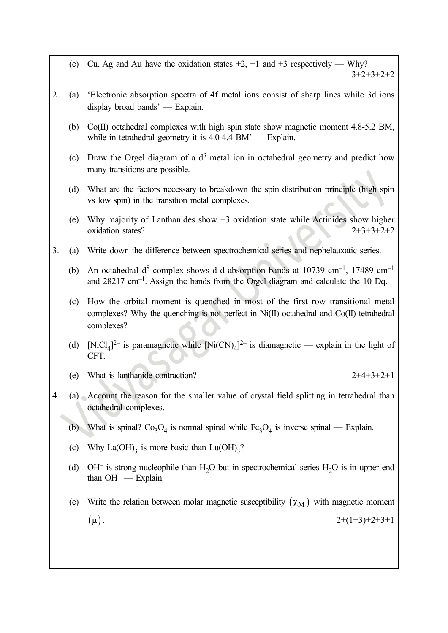- (e) Cu, Ag and Au have the oxidation states  $+2$ ,  $+1$  and  $+3$  respectively Why? 3+2+3+2+2
- 2. (a) 'Electronic absorption spectra of 4f metal ions consist of sharp lines while 3d ions display broad bands' — Explain.
	- (b) Co(II) octahedral complexes with high spin state show magnetic moment 4.8-5.2 BM, while in tetrahedral geometry it is 4.0-4.4 BM' — Explain.
	- (c) Draw the Orgel diagram of a  $d<sup>3</sup>$  metal ion in octahedral geometry and predict how many transitions are possible.
	- (d) What are the factors necessary to breakdown the spin distribution principle (high spin vs low spin) in the transition metal complexes.
	- (e) Why majority of Lanthanides show +3 oxidation state while Actinides show higher oxidation states?  $2+3+3+2+2$
- 3. (a) Write down the difference between spectrochemical series and nephelauxatic series.
	- (b) An octahedral d<sup>8</sup> complex shows d-d absorption bands at 10739 cm<sup>-1</sup>, 17489 cm<sup>-1</sup> and  $28217 \text{ cm}^{-1}$ . Assign the bands from the Orgel diagram and calculate the 10 Dq.
	- (c) How the orbital moment is quenched in most of the first row transitional metal complexes? Why the quenching is not perfect in Ni(II) octahedral and Co(II) tetrahedral complexes?
	- (d) [NiCl<sub>4</sub>]<sup>2-</sup> is paramagnetic while  $[Ni(CN)<sub>4</sub>]$ <sup>2-</sup> is diamagnetic explain in the light of CFT.
	- (e) What is lanthanide contraction?  $2+4+3+2+1$
- 4. (a) Account the reason for the smaller value of crystal field splitting in tetrahedral than octahedral complexes.
	- (b) What is spinal?  $Co_3O_4$  is normal spinal while  $Fe_3O_4$  is inverse spinal Explain.
	- (c) Why  $La(OH)_3$  is more basic than  $Lu(OH)_3$ ?
	- (d) OH<sup>-</sup> is strong nucleophile than  $H_2O$  but in spectrochemical series  $H_2O$  is in upper end than OH<sup>-</sup> - Explain.
	- (e) Write the relation between molar magnetic susceptibility  $(\chi_M)$  with magnetic moment  $(\mu)$ .  $2+(1+3)+2+3+1$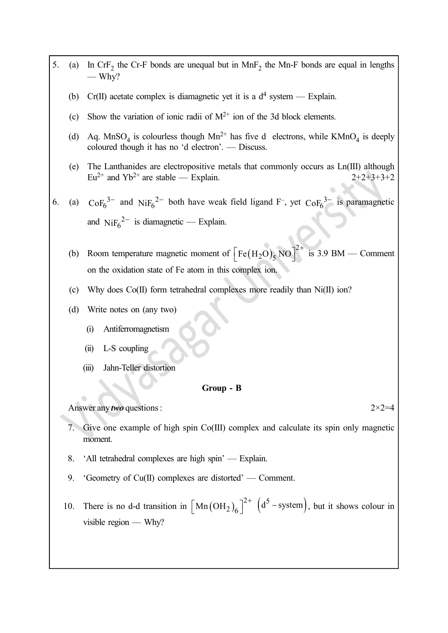| 5. | (a) | In CrF <sub>2</sub> the Cr-F bonds are unequal but in MnF <sub>2</sub> the Mn-F bonds are equal in lengths<br>— Why?                                      |  |
|----|-----|-----------------------------------------------------------------------------------------------------------------------------------------------------------|--|
|    | (b) | Cr(II) acetate complex is diamagnetic yet it is a $d^4$ system — Explain.                                                                                 |  |
|    | (c) | Show the variation of ionic radii of $M^{2+}$ ion of the 3d block elements.                                                                               |  |
|    | (d) | Aq. MnSO <sub>4</sub> is colourless though $Mn^{2+}$ has five d electrons, while $KMnO_4$ is deeply<br>coloured though it has no 'd electron'. — Discuss. |  |
|    | (e) | The Lanthanides are electropositive metals that commonly occurs as Ln(III) although<br>$Eu^{2+}$ and $Yb^{2+}$ are stable — Explain.<br>$2+2+3+3+2$       |  |
| 6. | (a) | $\text{CoF}_6^{3-}$ and Ni $\text{F}_6^{2-}$ both have weak field ligand F <sup>-</sup> , yet $\text{CoF}_6^{3-}$ is paramagnetic                         |  |
|    |     | and $NiF_6^2$ is diamagnetic — Explain.                                                                                                                   |  |
|    | (b) | Room temperature magnetic moment of $\left[Fe(H_2O), NO\right]^2$<br>is $3.9$ BM $-$ Comment                                                              |  |
|    |     | on the oxidation state of Fe atom in this complex ion.                                                                                                    |  |
|    | (c) | Why does Co(II) form tetrahedral complexes more readily than Ni(II) ion?                                                                                  |  |
|    | (d) | Write notes on (any two)                                                                                                                                  |  |
|    |     | Antiferromagnetism<br>(i)                                                                                                                                 |  |
|    |     | L-S coupling<br>(ii)                                                                                                                                      |  |
|    |     | Jahn-Teller distortion<br>(iii)                                                                                                                           |  |
|    |     | Group - B                                                                                                                                                 |  |
|    |     | Answer any two questions:<br>$2 \times 2 = 4$                                                                                                             |  |
|    | 7.  | Give one example of high spin Co(III) complex and calculate its spin only magnetic<br>moment.                                                             |  |
|    | 8.  | 'All tetrahedral complexes are high spin' — Explain.                                                                                                      |  |
|    | 9.  | 'Geometry of $Cu(II)$ complexes are distorted' — Comment.                                                                                                 |  |
|    | 10. | There is no d-d transition in $\left[ \text{Mn}(\text{OH}_2)_6 \right]^{2+}$ $(d^5 - \text{system})$ , but it shows colour in<br>visible region $-$ Why?  |  |
|    |     |                                                                                                                                                           |  |
|    |     |                                                                                                                                                           |  |